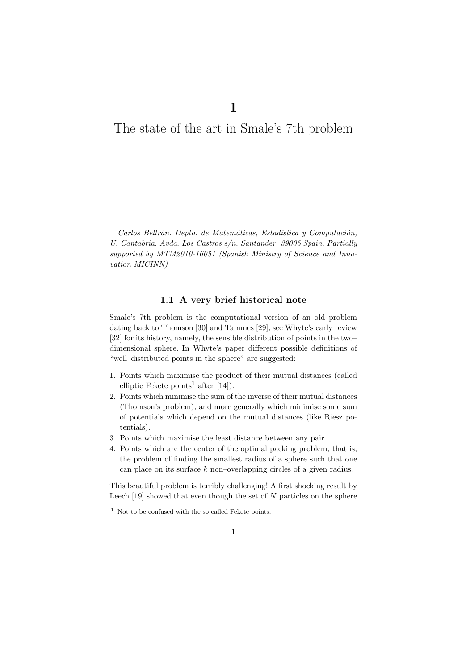1

# The state of the art in Smale's 7th problem

Carlos Beltrán. Depto. de Matemáticas, Estadística y Computación, U. Cantabria. Avda. Los Castros s/n. Santander, 39005 Spain. Partially supported by MTM2010-16051 (Spanish Ministry of Science and Innovation MICINN)

## 1.1 A very brief historical note

Smale's 7th problem is the computational version of an old problem dating back to Thomson [30] and Tammes [29], see Whyte's early review [32] for its history, namely, the sensible distribution of points in the two– dimensional sphere. In Whyte's paper different possible definitions of "well–distributed points in the sphere" are suggested:

- 1. Points which maximise the product of their mutual distances (called elliptic Fekete points<sup>1</sup> after  $[14]$ .
- 2. Points which minimise the sum of the inverse of their mutual distances (Thomson's problem), and more generally which minimise some sum of potentials which depend on the mutual distances (like Riesz potentials).
- 3. Points which maximise the least distance between any pair.
- 4. Points which are the center of the optimal packing problem, that is, the problem of finding the smallest radius of a sphere such that one can place on its surface  $k$  non–overlapping circles of a given radius.

This beautiful problem is terribly challenging! A first shocking result by Leech [19] showed that even though the set of  $N$  particles on the sphere

1

 $1$  Not to be confused with the so called Fekete points.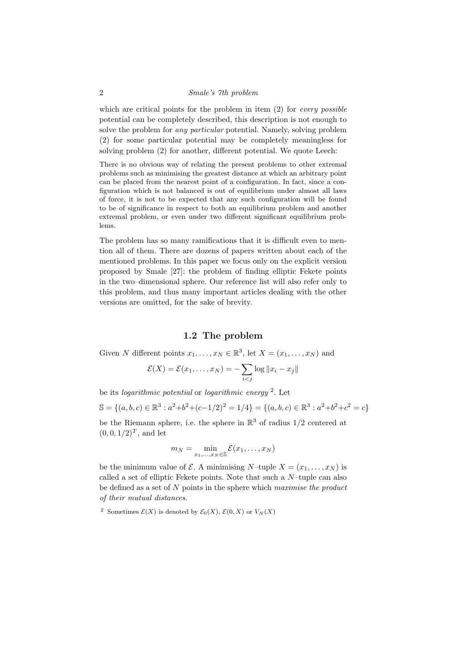#### 2 Smale's 7th problem

which are critical points for the problem in item  $(2)$  for *every possible* potential can be completely described, this description is not enough to solve the problem for any particular potential. Namely, solving problem (2) for some particular potential may be completely meaningless for solving problem (2) for another, different potential. We quote Leech:

There is no obvious way of relating the present problems to other extremal problems such as minimising the greatest distance at which an arbitrary point can be placed from the nearest point of a configuration. In fact, since a configuration which is not balanced is out of equilibrium under almost all laws of force, it is not to be expected that any such configuration will be found to be of significance in respect to both an equilibrium problem and another extremal problem, or even under two different significant equilibrium problems.

The problem has so many ramifications that it is difficult even to mention all of them. There are dozens of papers written about each of the mentioned problems. In this paper we focus only on the explicit version proposed by Smale [27]: the problem of finding elliptic Fekete points in the two–dimensional sphere. Our reference list will also refer only to this problem, and thus many important articles dealing with the other versions are omitted, for the sake of brevity.

## 1.2 The problem

Given N different points  $x_1, \ldots, x_N \in \mathbb{R}^3$ , let  $X = (x_1, \ldots, x_N)$  and

$$
\mathcal{E}(X) = \mathcal{E}(x_1,\ldots,x_N) = -\sum_{i < j} \log \|x_i - x_j\|
$$

be its *logarithmic potential* or *logarithmic energy*  $^2$ . Let  $\mathbb{S} = \{(a, b, c) \in \mathbb{R}^3 : a^2 + b^2 + (c - 1/2)^2 = 1/4\} = \{(a, b, c) \in \mathbb{R}^3 : a^2 + b^2 + c^2 = c\}$ be the Riemann sphere, i.e. the sphere in  $\mathbb{R}^3$  of radius  $1/2$  centered at  $(0, 0, 1/2)^T$ , and let

$$
m_N = \min_{x_1,\ldots,x_N \in \mathbb{S}} \mathcal{E}(x_1,\ldots,x_N)
$$

be the minimum value of  $\mathcal{E}$ . A minimising N–tuple  $X = (x_1, \ldots, x_N)$  is called a set of elliptic Fekete points. Note that such a  $N$ -tuple can also be defined as a set of  $N$  points in the sphere which maximise the product of their mutual distances.

<sup>2</sup> Sometimes  $\mathcal{E}(X)$  is denoted by  $\mathcal{E}_0(X)$ ,  $\mathcal{E}(0, X)$  or  $V_N(X)$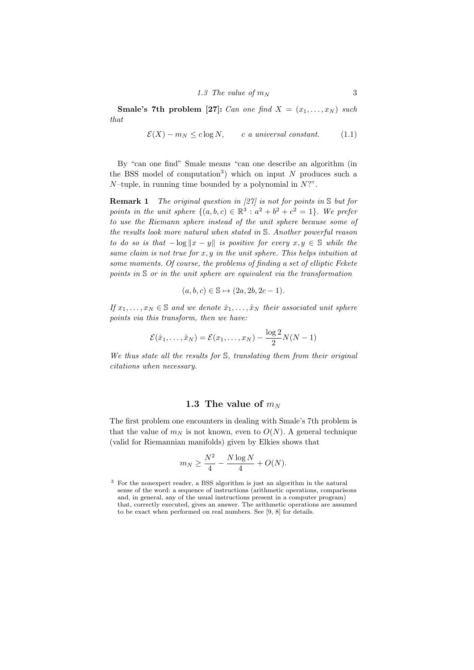**Smale's 7th problem [27]:** Can one find  $X = (x_1, \ldots, x_N)$  such that

$$
\mathcal{E}(X) - m_N \le c \log N, \qquad c \text{ a universal constant.} \tag{1.1}
$$

By "can one find" Smale means "can one describe an algorithm (in the BSS model of computation<sup>3</sup>) which on input N produces such a  $N$ -tuple, in running time bounded by a polynomial in  $N$ ?".

**Remark 1** The original question in [27] is not for points in  $S$  but for points in the unit sphere  $\{(a, b, c) \in \mathbb{R}^3 : a^2 + b^2 + c^2 = 1\}$ . We prefer to use the Riemann sphere instead of the unit sphere because some of the results look more natural when stated in S. Another powerful reason to do so is that  $-\log ||x - y||$  is positive for every  $x, y \in \mathbb{S}$  while the same claim is not true for  $x, y$  in the unit sphere. This helps intuition at some moments. Of course, the problems of finding a set of elliptic Fekete points in S or in the unit sphere are equivalent via the transformation

$$
(a, b, c) \in \mathbb{S} \mapsto (2a, 2b, 2c - 1).
$$

If  $x_1, \ldots, x_N \in \mathbb{S}$  and we denote  $\hat{x}_1, \ldots, \hat{x}_N$  their associated unit sphere points via this transform, then we have:

$$
\mathcal{E}(\hat{x}_1,\ldots,\hat{x}_N)=\mathcal{E}(x_1,\ldots,x_N)-\frac{\log 2}{2}N(N-1)
$$

We thus state all the results for S, translating them from their original citations when necessary.

### 1.3 The value of  $m_N$

The first problem one encounters in dealing with Smale's 7th problem is that the value of  $m_N$  is not known, even to  $O(N)$ . A general technique (valid for Riemannian manifolds) given by Elkies shows that

$$
m_N \ge \frac{N^2}{4} - \frac{N \log N}{4} + O(N).
$$

<sup>3</sup> For the nonexpert reader, a BSS algorithm is just an algorithm in the natural sense of the word: a sequence of instructions (arithmetic operations, comparisons and, in general, any of the usual instructions present in a computer program) that, correctly executed, gives an answer. The arithmetic operations are assumed to be exact when performed on real numbers. See [9, 8] for details.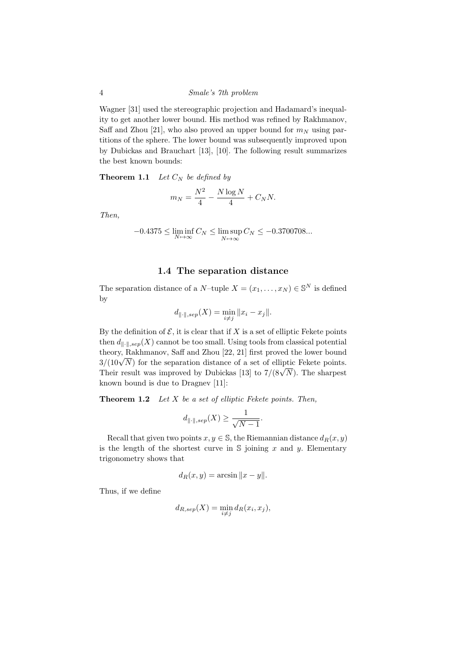Wagner [31] used the stereographic projection and Hadamard's inequality to get another lower bound. His method was refined by Rakhmanov, Saff and Zhou [21], who also proved an upper bound for  $m<sub>N</sub>$  using partitions of the sphere. The lower bound was subsequently improved upon by Dubickas and Brauchart [13], [10]. The following result summarizes the best known bounds:

**Theorem 1.1** Let  $C_N$  be defined by

$$
m_N = \frac{N^2}{4} - \frac{N \log N}{4} + C_N N.
$$

Then,

$$
-0.4375 \le \liminf_{N \to \infty} C_N \le \limsup_{N \to \infty} C_N \le -0.3700708...
$$

## 1.4 The separation distance

The separation distance of a  $N$ -tuple  $X = (x_1, \ldots, x_N) \in \mathbb{S}^N$  is defined by

$$
d_{\|\cdot\|,sep}(X) = \min_{i \neq j} \|x_i - x_j\|.
$$

By the definition of  $\mathcal{E}$ , it is clear that if X is a set of elliptic Fekete points then  $d_{\parallel \cdot \parallel,sep}(X)$  cannot be too small. Using tools from classical potential theory, Rakhmanov, Saff and Zhou [22, 21] first proved the lower bound theory, Rakhmanov, San and Zhou [22, 21] hist proved the lower bound  $3/(10\sqrt{N})$  for the separation distance of a set of elliptic Fekete points.  $5/(10\sqrt{N})$  for the separation distance of a set of emptic rekete points.<br>Their result was improved by Dubickas [13] to  $7/(8\sqrt{N})$ . The sharpest known bound is due to Dragnev [11]:

**Theorem 1.2** Let  $X$  be a set of elliptic Fekete points. Then,

$$
d_{\|\cdot\|,sep}(X) \ge \frac{1}{\sqrt{N-1}}.
$$

Recall that given two points  $x, y \in \mathbb{S}$ , the Riemannian distance  $d_R(x, y)$ is the length of the shortest curve in  $S$  joining x and y. Elementary trigonometry shows that

$$
d_R(x, y) = \arcsin \|x - y\|.
$$

Thus, if we define

$$
d_{R,sep}(X) = \min_{i \neq j} d_R(x_i, x_j),
$$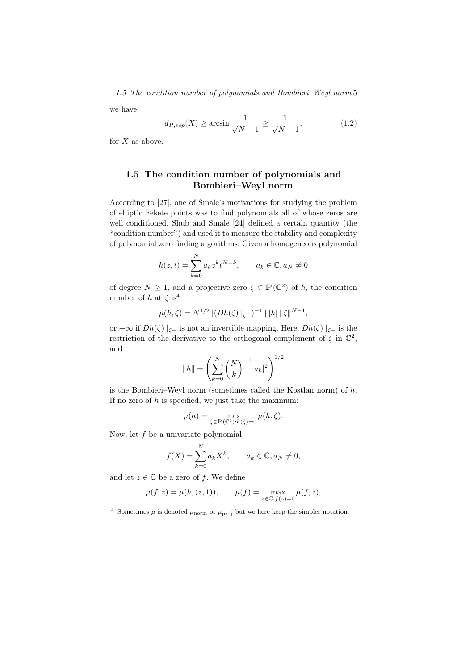1.5 The condition number of polynomials and Bombieri–Weyl norm 5

we have

$$
d_{R,sep}(X) \ge \arcsin\frac{1}{\sqrt{N-1}} \ge \frac{1}{\sqrt{N-1}},\tag{1.2}
$$

for  $X$  as above.

# 1.5 The condition number of polynomials and Bombieri–Weyl norm

According to [27], one of Smale's motivations for studying the problem of elliptic Fekete points was to find polynomials all of whose zeros are well conditioned. Shub and Smale [24] defined a certain quantity (the "condition number") and used it to measure the stability and complexity of polynomial zero finding algorithms. Given a homogeneous polynomial

$$
h(z,t) = \sum_{k=0}^{N} a_k z^k t^{N-k}, \qquad a_k \in \mathbb{C}, a_N \neq 0
$$

of degree  $N \geq 1$ , and a projective zero  $\zeta \in \mathbb{P}(\mathbb{C}^2)$  of h, the condition number of h at  $\zeta$  is<sup>4</sup>

$$
\mu(h,\zeta) = N^{1/2} \|(Dh(\zeta)\|_{\zeta^{\perp}})^{-1} \|\|h\| \|\zeta\|^{N-1},
$$

or  $+\infty$  if  $Dh(\zeta) \mid_{\zeta^{\perp}}$  is not an invertible mapping. Here,  $Dh(\zeta) \mid_{\zeta^{\perp}}$  is the restriction of the derivative to the orthogonal complement of  $\zeta$  in  $\mathbb{C}^2$ , and

$$
||h|| = \left(\sum_{k=0}^{N} {N \choose k}^{-1} |a_k|^2\right)^{1/2}
$$

is the Bombieri–Weyl norm (sometimes called the Kostlan norm) of  $h$ . If no zero of  $h$  is specified, we just take the maximum:

$$
\mu(h) = \max_{\zeta \in \mathbf{P}(\mathbb{C}^2): h(\zeta) = 0} \mu(h, \zeta).
$$

Now, let  $f$  be a univariate polynomial

$$
f(X) = \sum_{k=0}^{N} a_k X^k, \qquad a_k \in \mathbb{C}, a_N \neq 0,
$$

and let  $z \in \mathbb{C}$  be a zero of f. We define

$$
\mu(f, z) = \mu(h, (z, 1)),
$$
\n $\mu(f) = \max_{z \in \mathbb{C}: f(z) = 0} \mu(f, z),$ 

<sup>4</sup> Sometimes  $\mu$  is denoted  $\mu_{\text{norm}}$  or  $\mu_{\text{proj}}$  but we here keep the simpler notation.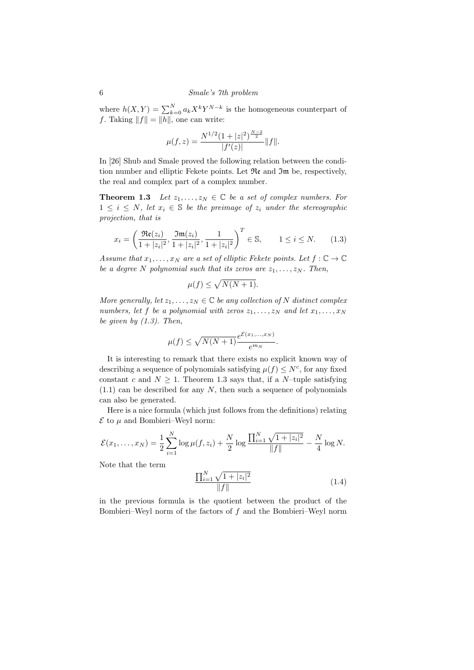where  $h(X,Y) = \sum_{k=0}^{N} a_k X^k Y^{N-k}$  is the homogeneous counterpart of f. Taking  $||f|| = ||h||$ , one can write:

$$
\mu(f, z) = \frac{N^{1/2} (1 + |z|^2)^{\frac{N-2}{2}}}{|f'(z)|} ||f||.
$$

In [26] Shub and Smale proved the following relation between the condition number and elliptic Fekete points. Let Re and Im be, respectively, the real and complex part of a complex number.

**Theorem 1.3** Let  $z_1, \ldots, z_N \in \mathbb{C}$  be a set of complex numbers. For  $1 \leq i \leq N$ , let  $x_i \in \mathbb{S}$  be the preimage of  $z_i$  under the stereographic projection, that is

$$
x_i = \left(\frac{\Re\mathfrak{e}(z_i)}{1+|z_i|^2}, \frac{\Im\mathfrak{m}(z_i)}{1+|z_i|^2}, \frac{1}{1+|z_i|^2}\right)^T \in \mathbb{S}, \qquad 1 \le i \le N. \tag{1.3}
$$

Assume that  $x_1, \ldots, x_N$  are a set of elliptic Fekete points. Let  $f : \mathbb{C} \to \mathbb{C}$ be a degree N polynomial such that its zeros are  $z_1, \ldots, z_N$ . Then,

$$
\mu(f) \le \sqrt{N(N+1)}.
$$

More generally, let  $z_1, \ldots, z_N \in \mathbb{C}$  be any collection of N distinct complex numbers, let f be a polynomial with zeros  $z_1, \ldots, z_N$  and let  $x_1, \ldots, x_N$ be given by  $(1.3)$ . Then,

$$
\mu(f) \le \sqrt{N(N+1)} \frac{e^{\mathcal{E}(x_1,\dots,x_N)}}{e^{m_N}}.
$$

It is interesting to remark that there exists no explicit known way of describing a sequence of polynomials satisfying  $\mu(f) \leq N^c$ , for any fixed constant c and  $N \geq 1$ . Theorem 1.3 says that, if a N-tuple satisfying  $(1.1)$  can be described for any N, then such a sequence of polynomials can also be generated.

Here is a nice formula (which just follows from the definitions) relating  $\mathcal E$  to  $\mu$  and Bombieri–Weyl norm:

$$
\mathcal{E}(x_1,\ldots,x_N) = \frac{1}{2}\sum_{i=1}^N \log \mu(f,z_i) + \frac{N}{2}\log \frac{\prod_{i=1}^N \sqrt{1+|z_i|^2}}{||f||} - \frac{N}{4}\log N.
$$

Note that the term

$$
\frac{\prod_{i=1}^{N} \sqrt{1+|z_i|^2}}{\|f\|} \tag{1.4}
$$

in the previous formula is the quotient between the product of the Bombieri–Weyl norm of the factors of f and the Bombieri–Weyl norm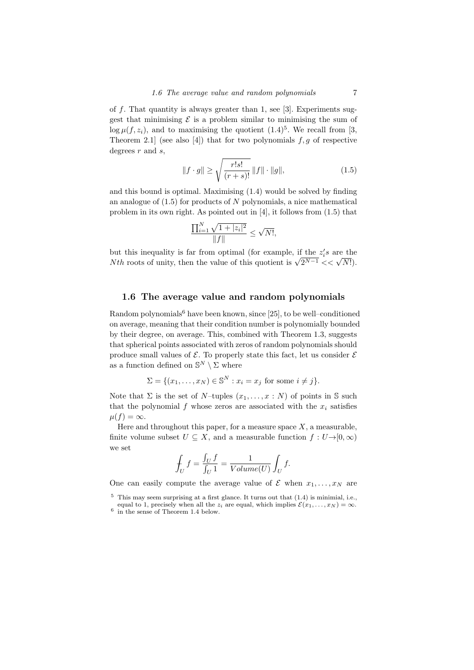of f. That quantity is always greater than 1, see [3]. Experiments suggest that minimising  $\mathcal E$  is a problem similar to minimising the sum of  $\log \mu(f, z_i)$ , and to maximising the quotient  $(1.4)^5$ . We recall from [3, Theorem 2.1] (see also [4]) that for two polynomials  $f, g$  of respective degrees  $r$  and  $s$ ,

$$
||f \cdot g|| \ge \sqrt{\frac{r!s!}{(r+s)!}} ||f|| \cdot ||g||, \tag{1.5}
$$

and this bound is optimal. Maximising (1.4) would be solved by finding an analogue of  $(1.5)$  for products of N polynomials, a nice mathematical problem in its own right. As pointed out in [4], it follows from (1.5) that

$$
\frac{\prod_{i=1}^{N} \sqrt{1 + |z_i|^2}}{\|f\|} \le \sqrt{N!},
$$

but this inequality is far from optimal (for example, if the  $z_i$ 's are the but this inequality is far from optimal (for example, if the  $z_i$ 's are the  $Nth$  roots of unity, then the value of this quotient is  $\sqrt{2^{N-1}} << \sqrt{N!}$ ).

#### 1.6 The average value and random polynomials

Random polynomials<sup>6</sup> have been known, since [25], to be well-conditioned on average, meaning that their condition number is polynomially bounded by their degree, on average. This, combined with Theorem 1.3, suggests that spherical points associated with zeros of random polynomials should produce small values of  $\mathcal E$ . To properly state this fact, let us consider  $\mathcal E$ as a function defined on  $\mathbb{S}^N \setminus \Sigma$  where

$$
\Sigma = \{(x_1, \dots, x_N) \in \mathbb{S}^N : x_i = x_j \text{ for some } i \neq j\}.
$$

Note that  $\Sigma$  is the set of N–tuples  $(x_1, \ldots, x : N)$  of points in S such that the polynomial  $f$  whose zeros are associated with the  $x_i$  satisfies  $\mu(f) = \infty.$ 

Here and throughout this paper, for a measure space  $X$ , a measurable, finite volume subset  $U \subseteq X$ , and a measurable function  $f: U \rightarrow [0, \infty)$ we set

$$
\oint_U f = \frac{\int_U f}{\int_U 1} = \frac{1}{Volume(U)} \int_U f.
$$

One can easily compute the average value of  $\mathcal E$  when  $x_1, \ldots, x_N$  are

 $5$  This may seem surprising at a first glance. It turns out that  $(1.4)$  is minimial, i.e., equal to 1, precisely when all the  $z_i$  are equal, which implies  $\mathcal{E}(x_1, \ldots, x_N) = \infty$ .

<sup>6</sup> in the sense of Theorem 1.4 below.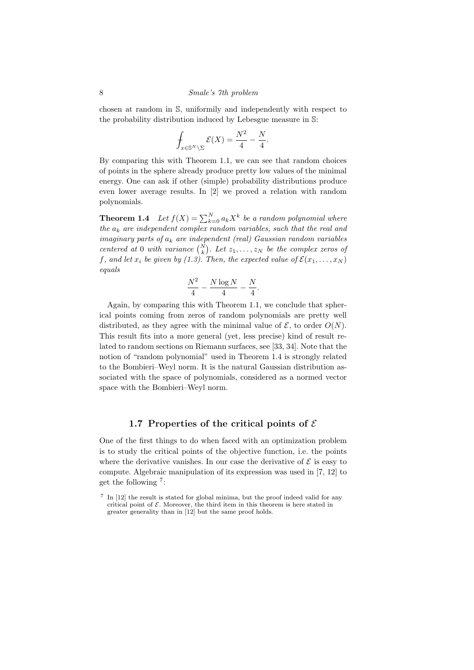#### 8 Smale's 7th problem

chosen at random in S, uniformily and independently with respect to the probability distribution induced by Lebesgue measure in S:

$$
\int_{x \in \mathbb{S}^N \backslash \Sigma} \mathcal{E}(X) = \frac{N^2}{4} - \frac{N}{4}.
$$

By comparing this with Theorem 1.1, we can see that random choices of points in the sphere already produce pretty low values of the minimal energy. One can ask if other (simple) probability distributions produce even lower average results. In [2] we proved a relation with random polynomials.

**Theorem 1.4** Let  $f(X) = \sum_{k=0}^{N} a_k X^k$  be a random polynomial where the  $a_k$  are independent complex random variables, such that the real and imaginary parts of  $a_k$  are independent (real) Gaussian random variables centered at 0 with variance  $\binom{N}{k}$ . Let  $z_1, \ldots, z_N$  be the complex zeros of f, and let  $x_i$  be given by (1.3). Then, the expected value of  $\mathcal{E}(x_1, \ldots, x_N)$ equals

$$
\frac{N^2}{4}-\frac{N\log N}{4}-\frac{N}{4}.
$$

Again, by comparing this with Theorem 1.1, we conclude that spherical points coming from zeros of random polynomials are pretty well distributed, as they agree with the minimal value of  $\mathcal{E}$ , to order  $O(N)$ . This result fits into a more general (yet, less precise) kind of result related to random sections on Riemann surfaces, see [33, 34]. Note that the notion of "random polynomial" used in Theorem 1.4 is strongly related to the Bombieri–Weyl norm. It is the natural Gaussian distribution associated with the space of polynomials, considered as a normed vector space with the Bombieri–Weyl norm.

#### 1.7 Properties of the critical points of  $\mathcal E$

One of the first things to do when faced with an optimization problem is to study the critical points of the objective function, i.e. the points where the derivative vanishes. In our case the derivative of  $\mathcal E$  is easy to compute. Algebraic manipulation of its expression was used in [7, 12] to get the following <sup>7</sup> :

<sup>7</sup> In [12] the result is stated for global minima, but the proof indeed valid for any critical point of  $\mathcal E$ . Moreover, the third item in this theorem is here stated in greater generality than in [12] but the same proof holds.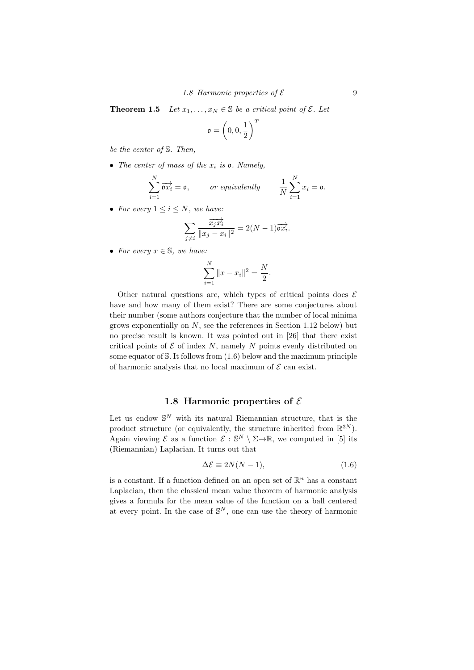**Theorem 1.5** Let  $x_1, \ldots, x_N \in \mathbb{S}$  be a critical point of  $\mathcal{E}$ . Let

$$
\mathfrak{o} = \left(0,0,\frac{1}{2}\right)^T
$$

be the center of S. Then,

• The center of mass of the  $x_i$  is  $\rho$ . Namely,

$$
\sum_{i=1}^N \overrightarrow{\mathfrak{a}x_i} = \mathfrak{o}, \qquad \text{or equivalently} \qquad \frac{1}{N} \sum_{i=1}^N x_i = \mathfrak{o}.
$$

• For every  $1 \leq i \leq N$ , we have:

$$
\sum_{j \neq i} \frac{\overrightarrow{x_j x_i}}{\|x_j - x_i\|^2} = 2(N - 1)\overrightarrow{\mathfrak{ox}_i}.
$$

• For every  $x \in \mathbb{S}$ , we have:

$$
\sum_{i=1}^{N} \|x - x_i\|^2 = \frac{N}{2}.
$$

Other natural questions are, which types of critical points does  $\mathcal E$ have and how many of them exist? There are some conjectures about their number (some authors conjecture that the number of local minima grows exponentially on  $N$ , see the references in Section 1.12 below) but no precise result is known. It was pointed out in [26] that there exist critical points of  $\mathcal E$  of index N, namely N points evenly distributed on some equator of  $S$ . It follows from  $(1.6)$  below and the maximum principle of harmonic analysis that no local maximum of  $\mathcal E$  can exist.

## 1.8 Harmonic properties of  $\mathcal E$

Let us endow  $\mathbb{S}^N$  with its natural Riemannian structure, that is the product structure (or equivalently, the structure inherited from  $\mathbb{R}^{3N}$ ). Again viewing  $\mathcal E$  as a function  $\mathcal E : \mathbb S^N \setminus \Sigma \to \mathbb R$ , we computed in [5] its (Riemannian) Laplacian. It turns out that

$$
\Delta \mathcal{E} \equiv 2N(N-1),\tag{1.6}
$$

is a constant. If a function defined on an open set of  $\mathbb{R}^n$  has a constant Laplacian, then the classical mean value theorem of harmonic analysis gives a formula for the mean value of the function on a ball centered at every point. In the case of  $\mathbb{S}^N$ , one can use the theory of harmonic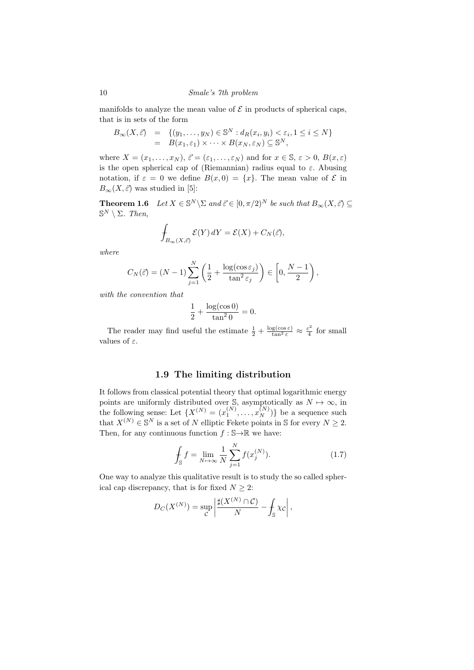10 Smale's 7th problem

manifolds to analyze the mean value of  $\mathcal E$  in products of spherical caps, that is in sets of the form

$$
B_{\infty}(X,\vec{\varepsilon}) = \{(y_1,\ldots,y_N) \in \mathbb{S}^N : d_R(x_i,y_i) < \varepsilon_i, 1 \le i \le N\}
$$
\n
$$
= B(x_1,\varepsilon_1) \times \cdots \times B(x_N,\varepsilon_N) \subseteq \mathbb{S}^N,
$$

where  $X = (x_1, \ldots, x_N)$ ,  $\vec{\varepsilon} = (\varepsilon_1, \ldots, \varepsilon_N)$  and for  $x \in \mathbb{S}, \varepsilon > 0$ ,  $B(x, \varepsilon)$ is the open spherical cap of (Riemannian) radius equal to  $\varepsilon$ . Abusing notation, if  $\varepsilon = 0$  we define  $B(x, 0) = \{x\}$ . The mean value of  $\mathcal E$  in  $B_{\infty}(X, \vec{\varepsilon})$  was studied in [5]:

**Theorem 1.6** Let  $X \in \mathbb{S}^N \setminus \Sigma$  and  $\vec{\varepsilon} \in [0, \pi/2)^N$  be such that  $B_{\infty}(X, \vec{\varepsilon}) \subseteq$  $\mathbb{S}^N \setminus \Sigma$ . Then,

$$
\int_{B_{\infty}(X,\vec{\varepsilon})} \mathcal{E}(Y) dY = \mathcal{E}(X) + C_N(\vec{\varepsilon}),
$$

where

$$
C_N(\vec{\varepsilon}) = (N-1) \sum_{j=1}^N \left( \frac{1}{2} + \frac{\log(\cos \varepsilon_j)}{\tan^2 \varepsilon_j} \right) \in \left[ 0, \frac{N-1}{2} \right),
$$

with the convention that

$$
\frac{1}{2} + \frac{\log(\cos 0)}{\tan^2 0} = 0.
$$

The reader may find useful the estimate  $\frac{1}{2} + \frac{\log(\cos \epsilon)}{\tan^2 \epsilon} \approx \frac{\epsilon^2}{4}$  $rac{1}{4}$  for small values of  $\varepsilon$ .

## 1.9 The limiting distribution

It follows from classical potential theory that optimal logarithmic energy points are uniformly distributed over S, asymptotically as  $N \mapsto \infty$ , in the following sense: Let  $\{X^{(N)} = (x_1^{(N)}, \ldots, x_N^{(N)})\}$  be a sequence such that  $X^{(N)} \in \mathbb{S}^N$  is a set of N elliptic Fekete points in S for every  $N \geq 2$ . Then, for any continuous function  $f : \mathbb{S} \to \mathbb{R}$  we have:

$$
\int_{\mathbb{S}} f = \lim_{N \to \infty} \frac{1}{N} \sum_{j=1}^{N} f(x_j^{(N)}).
$$
\n(1.7)

One way to analyze this qualitative result is to study the so called spherical cap discrepancy, that is for fixed  $N \geq 2$ :

$$
D_C(X^{(N)}) = \sup_{C} \left| \frac{\sharp(X^{(N)} \cap C)}{N} - \int_{\mathbb{S}} \chi_C \right|,
$$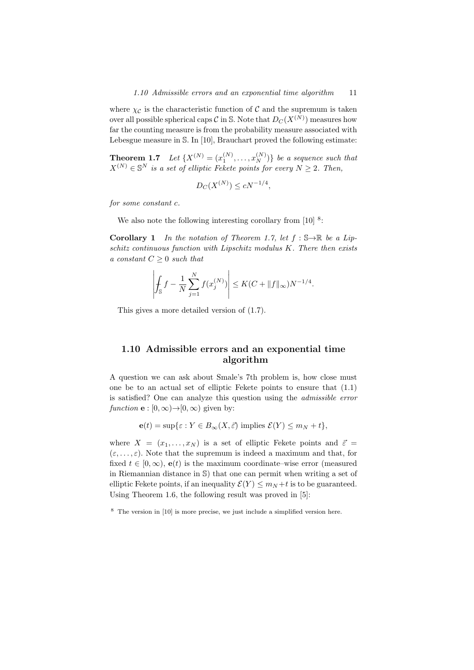where  $\chi_{\mathcal{C}}$  is the characteristic function of  $\mathcal{C}$  and the supremum is taken over all possible spherical caps  $\mathcal C$  in S. Note that  $D_C(X^{(N)})$  measures how far the counting measure is from the probability measure associated with Lebesgue measure in S. In [10], Brauchart proved the following estimate:

**Theorem 1.7** Let  $\{X^{(N)} = (x_1^{(N)}, \ldots, x_N^{(N)})\}$  be a sequence such that  $X^{(N)} \in \mathbb{S}^{N}$  is a set of elliptic Fekete points for every  $N \geq 2$ . Then,

$$
D_C(X^{(N)}) \le cN^{-1/4},
$$

for some constant c.

We also note the following interesting corollary from  $[10]$ <sup>8</sup>:

**Corollary 1** In the notation of Theorem 1.7, let  $f : \mathbb{S} \to \mathbb{R}$  be a Lipschitz continuous function with Lipschitz modulus K. There then exists a constant  $C \geq 0$  such that

$$
\left| \int_{\mathbb{S}} f - \frac{1}{N} \sum_{j=1}^{N} f(x_j^{(N)}) \right| \le K(C + \|f\|_{\infty}) N^{-1/4}.
$$

This gives a more detailed version of (1.7).

## 1.10 Admissible errors and an exponential time algorithm

A question we can ask about Smale's 7th problem is, how close must one be to an actual set of elliptic Fekete points to ensure that (1.1) is satisfied? One can analyze this question using the admissible error function  $\mathbf{e} : [0, \infty) \rightarrow [0, \infty)$  given by:

$$
\mathbf{e}(t) = \sup\{\varepsilon : Y \in B_{\infty}(X, \vec{\varepsilon}) \text{ implies } \mathcal{E}(Y) \le m_N + t\},\
$$

where  $X = (x_1, \ldots, x_N)$  is a set of elliptic Fekete points and  $\vec{\varepsilon} =$  $(\varepsilon, \ldots, \varepsilon)$ . Note that the supremum is indeed a maximum and that, for fixed  $t \in [0,\infty)$ ,  $\mathbf{e}(t)$  is the maximum coordinate–wise error (measured in Riemannian distance in S) that one can permit when writing a set of elliptic Fekete points, if an inequality  $\mathcal{E}(Y) \leq m_N + t$  is to be guaranteed. Using Theorem 1.6, the following result was proved in [5]:

<sup>8</sup> The version in [10] is more precise, we just include a simplified version here.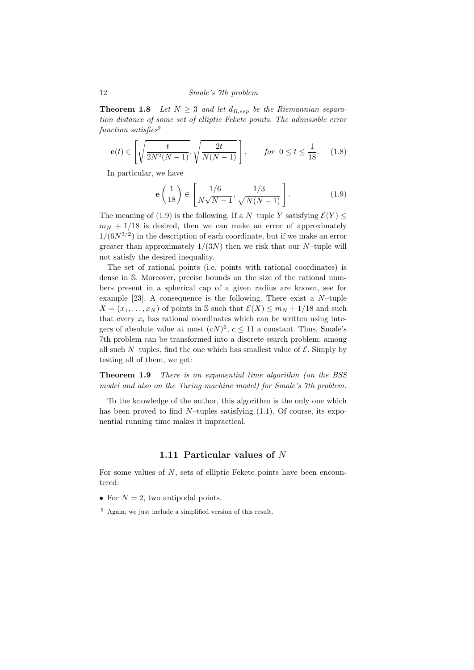**Theorem 1.8** Let  $N \geq 3$  and let  $d_{R,sep}$  be the Riemannian separation distance of some set of elliptic Fekete points. The admissible error  $function \; satisfies<sup>9</sup>$ 

$$
\mathbf{e}(t) \in \left[\sqrt{\frac{t}{2N^2(N-1)}}, \sqrt{\frac{2t}{N(N-1)}}\right], \qquad \text{for } 0 \le t \le \frac{1}{18}.\tag{1.8}
$$

In particular, we have

$$
\mathbf{e}\left(\frac{1}{18}\right) \in \left[\frac{1/6}{N\sqrt{N-1}}, \frac{1/3}{\sqrt{N(N-1)}}\right].\tag{1.9}
$$

The meaning of (1.9) is the following. If a N–tuple Y satisfying  $\mathcal{E}(Y) \leq$  $m_N + 1/18$  is desired, then we can make an error of approximately  $1/(6N^{3/2})$  in the description of each coordinate, but if we make an error greater than approximately  $1/(3N)$  then we risk that our N-tuple will not satisfy the desired inequality.

The set of rational points (i.e. points with rational coordinates) is dense in S. Moreover, precise bounds on the size of the rational numbers present in a spherical cap of a given radius are known, see for example [23]. A consequence is the following. There exist a  $N$ -tuple  $X = (x_1, \ldots, x_N)$  of points in S such that  $\mathcal{E}(X) \le m_N + 1/18$  and such that every  $x_i$  has rational coordinates which can be written using integers of absolute value at most  $(cN)^6$ ,  $c \le 11$  a constant. Thus, Smale's 7th problem can be transformed into a discrete search problem: among all such N–tuples, find the one which has smallest value of  $\mathcal{E}$ . Simply by testing all of them, we get:

**Theorem 1.9** There is an exponential time algorithm (on the BSS model and also on the Turing machine model) for Smale's 7th problem.

To the knowledge of the author, this algorithm is the only one which has been proved to find  $N$ -tuples satisfying  $(1.1)$ . Of course, its exponential running time makes it impractical.

#### 1.11 Particular values of N

For some values of  $N$ , sets of elliptic Fekete points have been encountered:

- For  $N = 2$ , two antipodal points.
- $9$  Again, we just include a simplified version of this result.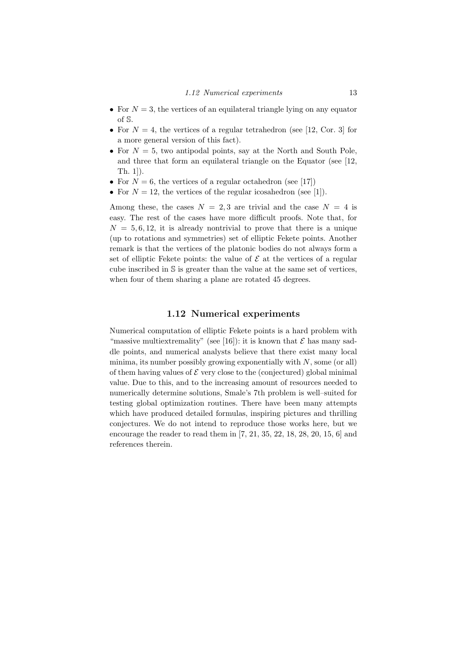- For  $N = 3$ , the vertices of an equilateral triangle lying on any equator of S.
- For  $N = 4$ , the vertices of a regular tetrahedron (see [12, Cor. 3] for a more general version of this fact).
- For  $N = 5$ , two antipodal points, say at the North and South Pole, and three that form an equilateral triangle on the Equator (see [12, Th. 1]).
- For  $N = 6$ , the vertices of a regular octahedron (see [17])
- For  $N = 12$ , the vertices of the regular icosahedron (see [1]).

Among these, the cases  $N = 2, 3$  are trivial and the case  $N = 4$  is easy. The rest of the cases have more difficult proofs. Note that, for  $N = 5, 6, 12$ , it is already nontrivial to prove that there is a unique (up to rotations and symmetries) set of elliptic Fekete points. Another remark is that the vertices of the platonic bodies do not always form a set of elliptic Fekete points: the value of  $\mathcal E$  at the vertices of a regular cube inscribed in S is greater than the value at the same set of vertices, when four of them sharing a plane are rotated 45 degrees.

#### 1.12 Numerical experiments

Numerical computation of elliptic Fekete points is a hard problem with "massive multiextremality" (see [16]): it is known that  $\mathcal E$  has many saddle points, and numerical analysts believe that there exist many local minima, its number possibly growing exponentially with  $N$ , some (or all) of them having values of  $\mathcal E$  very close to the (conjectured) global minimal value. Due to this, and to the increasing amount of resources needed to numerically determine solutions, Smale's 7th problem is well–suited for testing global optimization routines. There have been many attempts which have produced detailed formulas, inspiring pictures and thrilling conjectures. We do not intend to reproduce those works here, but we encourage the reader to read them in [7, 21, 35, 22, 18, 28, 20, 15, 6] and references therein.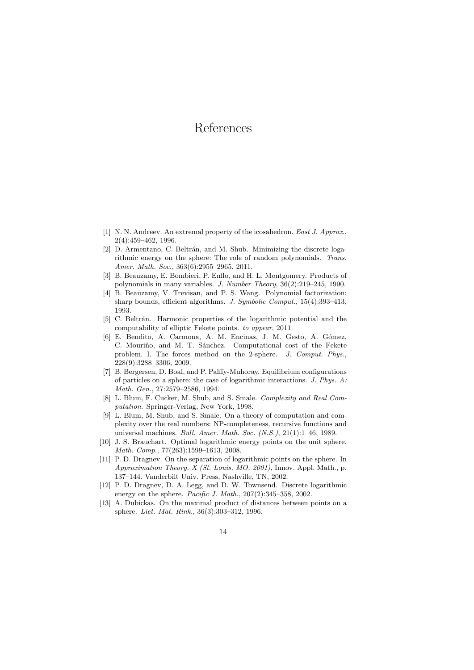# References

- [1] N. N. Andreev. An extremal property of the icosahedron. East J. Approx., 2(4):459–462, 1996.
- [2] D. Armentano, C. Beltrán, and M. Shub. Minimizing the discrete logarithmic energy on the sphere: The role of random polynomials. Trans. Amer. Math. Soc., 363(6):2955–2965, 2011.
- [3] B. Beauzamy, E. Bombieri, P. Enflo, and H. L. Montgomery. Products of polynomials in many variables. J. Number Theory, 36(2):219–245, 1990.
- [4] B. Beauzamy, V. Trevisan, and P. S. Wang. Polynomial factorization: sharp bounds, efficient algorithms. J. Symbolic Comput., 15(4):393–413, 1993.
- [5] C. Beltrán. Harmonic properties of the logarithmic potential and the computability of elliptic Fekete points. to appear, 2011.
- [6] E. Bendito, A. Carmona, A. M. Encinas, J. M. Gesto, A. Gómez, C. Mouriño, and M. T. Sánchez. Computational cost of the Fekete problem. I. The forces method on the 2-sphere. J. Comput. Phys., 228(9):3288–3306, 2009.
- [7] B. Bergersen, D. Boal, and P. Palffy-Muhoray. Equilibrium configurations of particles on a sphere: the case of logarithmic interactions. J. Phys. A: Math. Gen., 27:2579–2586, 1994.
- [8] L. Blum, F. Cucker, M. Shub, and S. Smale. Complexity and Real Computation. Springer-Verlag, New York, 1998.
- [9] L. Blum, M. Shub, and S. Smale. On a theory of computation and complexity over the real numbers: NP-completeness, recursive functions and universal machines. Bull. Amer. Math. Soc. (N.S.), 21(1):1–46, 1989.
- [10] J. S. Brauchart. Optimal logarithmic energy points on the unit sphere. Math. Comp., 77(263):1599–1613, 2008.
- [11] P. D. Dragnev. On the separation of logarithmic points on the sphere. In Approximation Theory, X (St. Louis, MO, 2001), Innov. Appl. Math., p. 137–144. Vanderbilt Univ. Press, Nashville, TN, 2002.
- [12] P. D. Dragnev, D. A. Legg, and D. W. Townsend. Discrete logarithmic energy on the sphere. Pacific J. Math., 207(2):345–358, 2002.
- [13] A. Dubickas. On the maximal product of distances between points on a sphere. Liet. Mat. Rink., 36(3):303–312, 1996.

14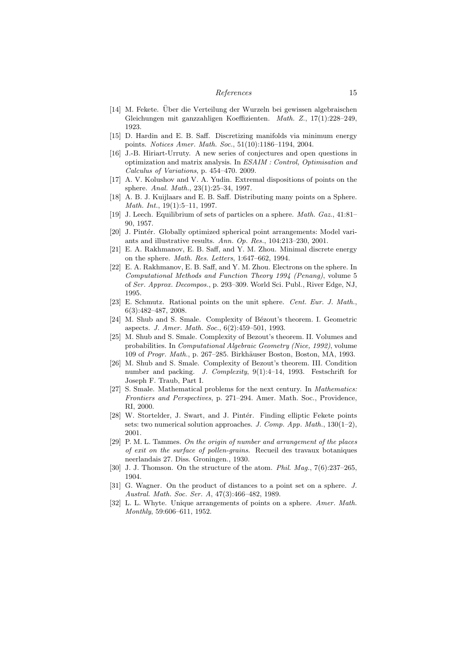#### References 15

- [14] M. Fekete. Uber die Verteilung der Wurzeln bei gewissen algebraischen ¨ Gleichungen mit ganzzahligen Koeffizienten. Math. Z., 17(1):228–249, 1923.
- [15] D. Hardin and E. B. Saff. Discretizing manifolds via minimum energy points. Notices Amer. Math. Soc., 51(10):1186–1194, 2004.
- [16] J.-B. Hiriart-Urruty. A new series of conjectures and open questions in optimization and matrix analysis. In ESAIM : Control, Optimisation and Calculus of Variations, p. 454–470. 2009.
- [17] A. V. Kolushov and V. A. Yudin. Extremal dispositions of points on the sphere. Anal. Math., 23(1):25–34, 1997.
- [18] A. B. J. Kuijlaars and E. B. Saff. Distributing many points on a Sphere. Math. Int., 19(1):5–11, 1997.
- [19] J. Leech. Equilibrium of sets of particles on a sphere. Math. Gaz., 41:81-90, 1957.
- [20] J. Pintér. Globally optimized spherical point arrangements: Model variants and illustrative results. Ann. Op. Res., 104:213–230, 2001.
- [21] E. A. Rakhmanov, E. B. Saff, and Y. M. Zhou. Minimal discrete energy on the sphere. Math. Res. Letters, 1:647–662, 1994.
- [22] E. A. Rakhmanov, E. B. Saff, and Y. M. Zhou. Electrons on the sphere. In Computational Methods and Function Theory 1994 (Penang), volume 5 of Ser. Approx. Decompos., p. 293–309. World Sci. Publ., River Edge, NJ, 1995.
- [23] E. Schmutz. Rational points on the unit sphere. Cent. Eur. J. Math., 6(3):482–487, 2008.
- [24] M. Shub and S. Smale. Complexity of Bézout's theorem. I. Geometric aspects. J. Amer. Math. Soc., 6(2):459–501, 1993.
- [25] M. Shub and S. Smale. Complexity of Bezout's theorem. II. Volumes and probabilities. In Computational Algebraic Geometry (Nice, 1992), volume 109 of Progr. Math., p. 267–285. Birkhäuser Boston, Boston, MA, 1993.
- [26] M. Shub and S. Smale. Complexity of Bezout's theorem. III. Condition number and packing. J. Complexity, 9(1):4–14, 1993. Festschrift for Joseph F. Traub, Part I.
- [27] S. Smale. Mathematical problems for the next century. In *Mathematics*: Frontiers and Perspectives, p. 271–294. Amer. Math. Soc., Providence, RI, 2000.
- [28] W. Stortelder, J. Swart, and J. Pintér. Finding elliptic Fekete points sets: two numerical solution approaches. J. Comp.  $App$ .  $Math., 130(1-2),$ 2001.
- [29] P. M. L. Tammes. On the origin of number and arrangement of the places of exit on the surface of pollen-grains. Recueil des travaux botaniques neerlandais 27. Diss. Groningen., 1930.
- [30] J. J. Thomson. On the structure of the atom. *Phil. Mag.*,  $7(6):237-265$ , 1904.
- [31] G. Wagner. On the product of distances to a point set on a sphere. J. Austral. Math. Soc. Ser. A, 47(3):466–482, 1989.
- [32] L. L. Whyte. Unique arrangements of points on a sphere. Amer. Math. Monthly, 59:606–611, 1952.